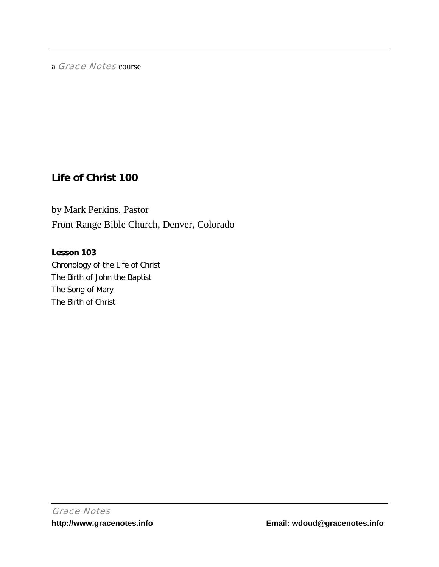a Grace Notes course

# **Life of Christ 100**

by Mark Perkins, Pastor Front Range Bible Church, Denver, Colorado

## **Lesson 103**

Chronology of the Life of Christ The Birth of John the Baptist The Song of Mary The Birth of Christ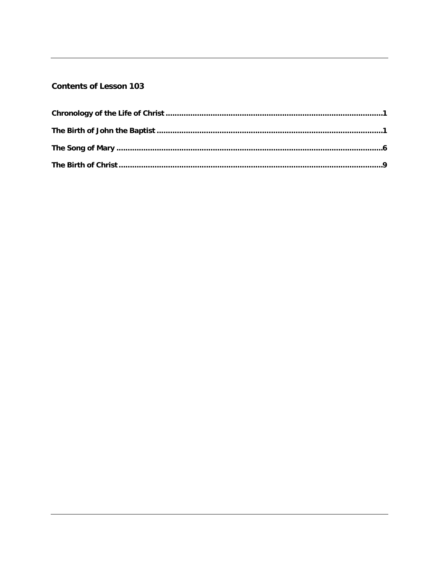# **Contents of Lesson 103**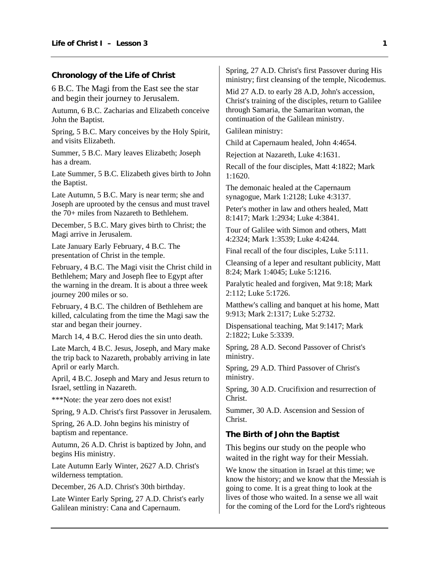### <span id="page-2-0"></span>**Chronology of the Life of Christ**

6 B.C. The Magi from the East see the star and begin their journey to Jerusalem.

Autumn, 6 B.C. Zacharias and Elizabeth conceive John the Baptist.

Spring, 5 B.C. Mary conceives by the Holy Spirit, and visits Elizabeth.

Summer, 5 B.C. Mary leaves Elizabeth; Joseph has a dream.

Late Summer, 5 B.C. Elizabeth gives birth to John the Baptist.

Late Autumn, 5 B.C. Mary is near term; she and Joseph are uprooted by the census and must travel the 70+ miles from Nazareth to Bethlehem.

December, 5 B.C. Mary gives birth to Christ; the Magi arrive in Jerusalem.

Late January Early February, 4 B.C. The presentation of Christ in the temple.

February, 4 B.C. The Magi visit the Christ child in Bethlehem; Mary and Joseph flee to Egypt after the warning in the dream. It is about a three week journey 200 miles or so.

February, 4 B.C. The children of Bethlehem are killed, calculating from the time the Magi saw the star and began their journey.

March 14, 4 B.C. Herod dies the sin unto death.

Late March, 4 B.C. Jesus, Joseph, and Mary make the trip back to Nazareth, probably arriving in late April or early March.

April, 4 B.C. Joseph and Mary and Jesus return to Israel, settling in Nazareth.

\*\*\*Note: the year zero does not exist!

Spring, 9 A.D. Christ's first Passover in Jerusalem.

Spring, 26 A.D. John begins his ministry of baptism and repentance.

Autumn, 26 A.D. Christ is baptized by John, and begins His ministry.

Late Autumn Early Winter, 2627 A.D. Christ's wilderness temptation.

December, 26 A.D. Christ's 30th birthday.

Late Winter Early Spring, 27 A.D. Christ's early Galilean ministry: Cana and Capernaum.

Spring, 27 A.D. Christ's first Passover during His ministry; first cleansing of the temple, Nicodemus.

Mid 27 A.D. to early 28 A.D, John's accession, Christ's training of the disciples, return to Galilee through Samaria, the Samaritan woman, the continuation of the Galilean ministry.

Galilean ministry:

Child at Capernaum healed, John 4:4654.

Rejection at Nazareth, Luke 4:1631.

Recall of the four disciples, Matt 4:1822; Mark 1:1620.

The demonaic healed at the Capernaum synagogue, Mark 1:2128; Luke 4:3137.

Peter's mother in law and others healed, Matt 8:1417; Mark 1:2934; Luke 4:3841.

Tour of Galilee with Simon and others, Matt 4:2324; Mark 1:3539; Luke 4:4244.

Final recall of the four disciples, Luke 5:111.

Cleansing of a leper and resultant publicity, Matt 8:24; Mark 1:4045; Luke 5:1216.

Paralytic healed and forgiven, Mat 9:18; Mark 2:112; Luke 5:1726.

Matthew's calling and banquet at his home, Matt 9:913; Mark 2:1317; Luke 5:2732.

Dispensational teaching, Mat 9:1417; Mark 2:1822; Luke 5:3339.

Spring, 28 A.D. Second Passover of Christ's ministry.

Spring, 29 A.D. Third Passover of Christ's ministry.

Spring, 30 A.D. Crucifixion and resurrection of Christ.

Summer, 30 A.D. Ascension and Session of Christ.

### **The Birth of John the Baptist**

This begins our study on the people who waited in the right way for their Messiah.

We know the situation in Israel at this time; we know the history; and we know that the Messiah is going to come. It is a great thing to look at the lives of those who waited. In a sense we all wait for the coming of the Lord for the Lord's righteous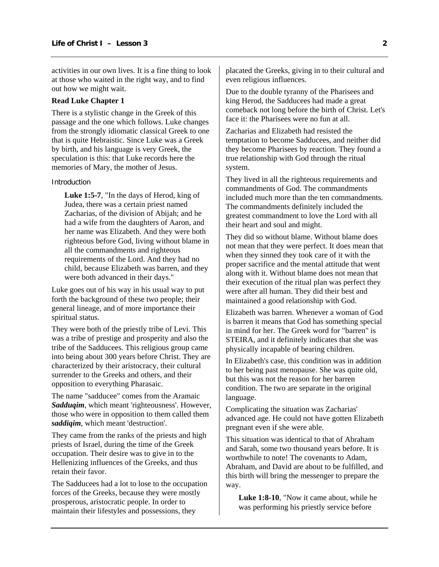activities in our own lives. It is a fine thing to look at those who waited in the right way, and to find out how we might wait.

#### **Read Luke Chapter 1**

There is a stylistic change in the Greek of this passage and the one which follows. Luke changes from the strongly idiomatic classical Greek to one that is quite Hebraistic. Since Luke was a Greek by birth, and his language is very Greek, the speculation is this: that Luke records here the memories of Mary, the mother of Jesus.

#### Introduction

**Luke 1:5-7**, "In the days of Herod, king of Judea, there was a certain priest named Zacharias, of the division of Abijah; and he had a wife from the daughters of Aaron, and her name was Elizabeth. And they were both righteous before God, living without blame in all the commandments and righteous requirements of the Lord. And they had no child, because Elizabeth was barren, and they were both advanced in their days."

Luke goes out of his way in his usual way to put forth the background of these two people; their general lineage, and of more importance their spiritual status.

They were both of the priestly tribe of Levi. This was a tribe of prestige and prosperity and also the tribe of the Sadducees. This religious group came into being about 300 years before Christ. They are characterized by their aristocracy, their cultural surrender to the Greeks and others, and their opposition to everything Pharasaic.

The name "sadducee" comes from the Aramaic *Sadduqim*, which meant 'righteousness'. However, those who were in opposition to them called them *saddiqim*, which meant 'destruction'.

They came from the ranks of the priests and high priests of Israel, during the time of the Greek occupation. Their desire was to give in to the Hellenizing influences of the Greeks, and thus retain their favor.

The Sadducees had a lot to lose to the occupation forces of the Greeks, because they were mostly prosperous, aristocratic people. In order to maintain their lifestyles and possessions, they

placated the Greeks, giving in to their cultural and even religious influences.

Due to the double tyranny of the Pharisees and king Herod, the Sadducees had made a great comeback not long before the birth of Christ. Let's face it: the Pharisees were no fun at all.

Zacharias and Elizabeth had resisted the temptation to become Sadducees, and neither did they become Pharisees by reaction. They found a true relationship with God through the ritual system.

They lived in all the righteous requirements and commandments of God. The commandments included much more than the ten commandments. The commandments definitely included the greatest commandment to love the Lord with all their heart and soul and might.

They did so without blame. Without blame does not mean that they were perfect. It does mean that when they sinned they took care of it with the proper sacrifice and the mental attitude that went along with it. Without blame does not mean that their execution of the ritual plan was perfect they were after all human. They did their best and maintained a good relationship with God.

Elizabeth was barren. Whenever a woman of God is barren it means that God has something special in mind for her. The Greek word for "barren" is STEIRA, and it definitely indicates that she was physically incapable of bearing children.

In Elizabeth's case, this condition was in addition to her being past menopause. She was quite old, but this was not the reason for her barren condition. The two are separate in the original language.

Complicating the situation was Zacharias' advanced age. He could not have gotten Elizabeth pregnant even if she were able.

This situation was identical to that of Abraham and Sarah, some two thousand years before. It is worthwhile to note! The covenants to Adam, Abraham, and David are about to be fulfilled, and this birth will bring the messenger to prepare the way.

**Luke 1:8-10**, "Now it came about, while he was performing his priestly service before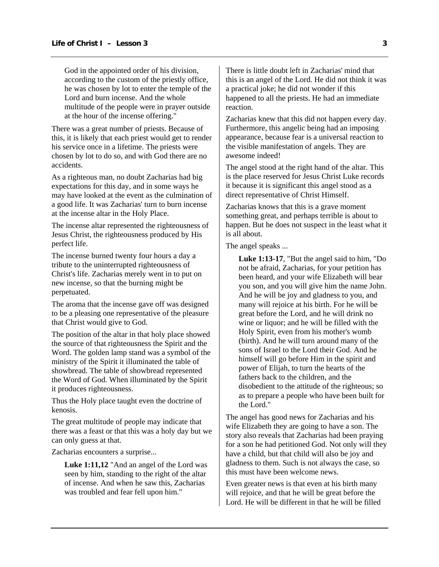God in the appointed order of his division, according to the custom of the priestly office, he was chosen by lot to enter the temple of the Lord and burn incense. And the whole multitude of the people were in prayer outside at the hour of the incense offering."

There was a great number of priests. Because of this, it is likely that each priest would get to render his service once in a lifetime. The priests were chosen by lot to do so, and with God there are no accidents.

As a righteous man, no doubt Zacharias had big expectations for this day, and in some ways he may have looked at the event as the culmination of a good life. It was Zacharias' turn to burn incense at the incense altar in the Holy Place.

The incense altar represented the righteousness of Jesus Christ, the righteousness produced by His perfect life.

The incense burned twenty four hours a day a tribute to the uninterrupted righteousness of Christ's life. Zacharias merely went in to put on new incense, so that the burning might be perpetuated.

The aroma that the incense gave off was designed to be a pleasing one representative of the pleasure that Christ would give to God.

The position of the altar in that holy place showed the source of that righteousness the Spirit and the Word. The golden lamp stand was a symbol of the ministry of the Spirit it illuminated the table of showbread. The table of showbread represented the Word of God. When illuminated by the Spirit it produces righteousness.

Thus the Holy place taught even the doctrine of kenosis.

The great multitude of people may indicate that there was a feast or that this was a holy day but we can only guess at that.

Zacharias encounters a surprise...

**Luke 1:11,12** "And an angel of the Lord was seen by him, standing to the right of the altar of incense. And when he saw this, Zacharias was troubled and fear fell upon him."

There is little doubt left in Zacharias' mind that this is an angel of the Lord. He did not think it was a practical joke; he did not wonder if this happened to all the priests. He had an immediate reaction.

Zacharias knew that this did not happen every day. Furthermore, this angelic being had an imposing appearance, because fear is a universal reaction to the visible manifestation of angels. They are awesome indeed!

The angel stood at the right hand of the altar. This is the place reserved for Jesus Christ Luke records it because it is significant this angel stood as a direct representative of Christ Himself.

Zacharias knows that this is a grave moment something great, and perhaps terrible is about to happen. But he does not suspect in the least what it is all about.

The angel speaks ...

**Luke 1:13-17**, "But the angel said to him, "Do not be afraid, Zacharias, for your petition has been heard, and your wife Elizabeth will bear you son, and you will give him the name John. And he will be joy and gladness to you, and many will rejoice at his birth. For he will be great before the Lord, and he will drink no wine or liquor; and he will be filled with the Holy Spirit, even from his mother's womb (birth). And he will turn around many of the sons of Israel to the Lord their God. And he himself will go before Him in the spirit and power of Elijah, to turn the hearts of the fathers back to the children, and the disobedient to the attitude of the righteous; so as to prepare a people who have been built for the Lord."

The angel has good news for Zacharias and his wife Elizabeth they are going to have a son. The story also reveals that Zacharias had been praying for a son he had petitioned God. Not only will they have a child, but that child will also be joy and gladness to them. Such is not always the case, so this must have been welcome news.

Even greater news is that even at his birth many will rejoice, and that he will be great before the Lord. He will be different in that he will be filled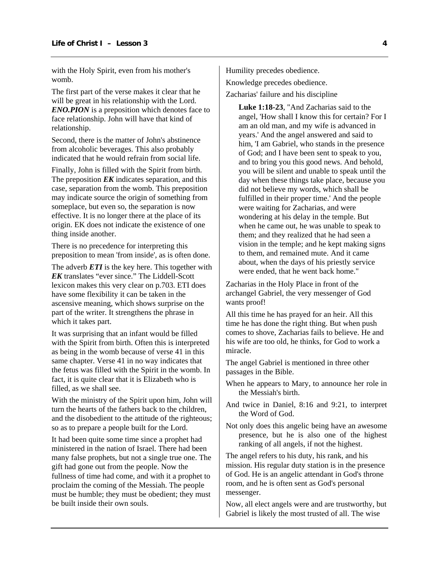with the Holy Spirit, even from his mother's womb.

The first part of the verse makes it clear that he will be great in his relationship with the Lord. *ENO.PION* is a preposition which denotes face to face relationship. John will have that kind of relationship.

Second, there is the matter of John's abstinence from alcoholic beverages. This also probably indicated that he would refrain from social life.

Finally, John is filled with the Spirit from birth. The preposition *EK* indicates separation, and this case, separation from the womb. This preposition may indicate source the origin of something from someplace, but even so, the separation is now effective. It is no longer there at the place of its origin. EK does not indicate the existence of one thing inside another.

There is no precedence for interpreting this preposition to mean 'from inside', as is often done.

The adverb *ETI* is the key here. This together with *EK* translates "ever since." The Liddell-Scott lexicon makes this very clear on p.703. ETI does have some flexibility it can be taken in the ascensive meaning, which shows surprise on the part of the writer. It strengthens the phrase in which it takes part.

It was surprising that an infant would be filled with the Spirit from birth. Often this is interpreted as being in the womb because of verse 41 in this same chapter. Verse 41 in no way indicates that the fetus was filled with the Spirit in the womb. In fact, it is quite clear that it is Elizabeth who is filled, as we shall see.

With the ministry of the Spirit upon him, John will turn the hearts of the fathers back to the children, and the disobedient to the attitude of the righteous; so as to prepare a people built for the Lord.

It had been quite some time since a prophet had ministered in the nation of Israel. There had been many false prophets, but not a single true one. The gift had gone out from the people. Now the fullness of time had come, and with it a prophet to proclaim the coming of the Messiah. The people must be humble; they must be obedient; they must be built inside their own souls.

Humility precedes obedience.

Knowledge precedes obedience.

Zacharias' failure and his discipline

**Luke 1:18-23**, "And Zacharias said to the angel, 'How shall I know this for certain? For I am an old man, and my wife is advanced in years.' And the angel answered and said to him, 'I am Gabriel, who stands in the presence of God; and I have been sent to speak to you, and to bring you this good news. And behold, you will be silent and unable to speak until the day when these things take place, because you did not believe my words, which shall be fulfilled in their proper time.' And the people were waiting for Zacharias, and were wondering at his delay in the temple. But when he came out, he was unable to speak to them; and they realized that he had seen a vision in the temple; and he kept making signs to them, and remained mute. And it came about, when the days of his priestly service were ended, that he went back home."

Zacharias in the Holy Place in front of the archangel Gabriel, the very messenger of God wants proof!

All this time he has prayed for an heir. All this time he has done the right thing. But when push comes to shove, Zacharias fails to believe. He and his wife are too old, he thinks, for God to work a miracle.

The angel Gabriel is mentioned in three other passages in the Bible.

- When he appears to Mary, to announce her role in the Messiah's birth.
- And twice in Daniel, 8:16 and 9:21, to interpret the Word of God.
- Not only does this angelic being have an awesome presence, but he is also one of the highest ranking of all angels, if not the highest.

The angel refers to his duty, his rank, and his mission. His regular duty station is in the presence of God. He is an angelic attendant in God's throne room, and he is often sent as God's personal messenger.

Now, all elect angels were and are trustworthy, but Gabriel is likely the most trusted of all. The wise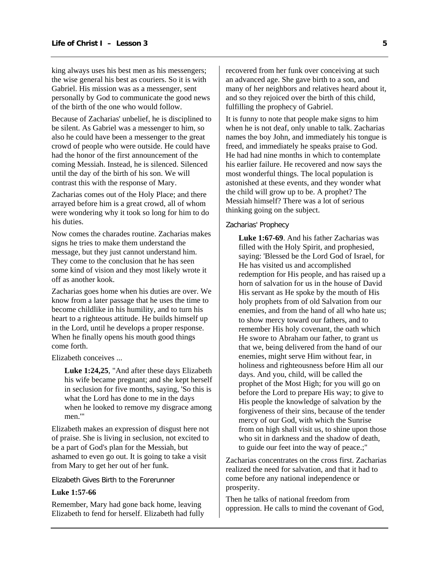king always uses his best men as his messengers; the wise general his best as couriers. So it is with Gabriel. His mission was as a messenger, sent personally by God to communicate the good news of the birth of the one who would follow.

Because of Zacharias' unbelief, he is disciplined to be silent. As Gabriel was a messenger to him, so also he could have been a messenger to the great crowd of people who were outside. He could have had the honor of the first announcement of the coming Messiah. Instead, he is silenced. Silenced until the day of the birth of his son. We will contrast this with the response of Mary.

Zacharias comes out of the Holy Place; and there arrayed before him is a great crowd, all of whom were wondering why it took so long for him to do his duties.

Now comes the charades routine. Zacharias makes signs he tries to make them understand the message, but they just cannot understand him. They come to the conclusion that he has seen some kind of vision and they most likely wrote it off as another kook.

Zacharias goes home when his duties are over. We know from a later passage that he uses the time to become childlike in his humility, and to turn his heart to a righteous attitude. He builds himself up in the Lord, until he develops a proper response. When he finally opens his mouth good things come forth.

Elizabeth conceives ...

**Luke 1:24,25**, "And after these days Elizabeth his wife became pregnant; and she kept herself in seclusion for five months, saying, 'So this is what the Lord has done to me in the days when he looked to remove my disgrace among men<sup>"</sup>

Elizabeth makes an expression of disgust here not of praise. She is living in seclusion, not excited to be a part of God's plan for the Messiah, but ashamed to even go out. It is going to take a visit from Mary to get her out of her funk.

Elizabeth Gives Birth to the Forerunner

#### **Luke 1:57-66**

Remember, Mary had gone back home, leaving Elizabeth to fend for herself. Elizabeth had fully recovered from her funk over conceiving at such an advanced age. She gave birth to a son, and many of her neighbors and relatives heard about it, and so they rejoiced over the birth of this child, fulfilling the prophecy of Gabriel.

It is funny to note that people make signs to him when he is not deaf, only unable to talk. Zacharias names the boy John, and immediately his tongue is freed, and immediately he speaks praise to God. He had had nine months in which to contemplate his earlier failure. He recovered and now says the most wonderful things. The local population is astonished at these events, and they wonder what the child will grow up to be. A prophet? The Messiah himself? There was a lot of serious thinking going on the subject.

#### Zacharias' Prophecy

**Luke 1:67-69**. And his father Zacharias was filled with the Holy Spirit, and prophesied, saying: 'Blessed be the Lord God of Israel, for He has visited us and accomplished redemption for His people, and has raised up a horn of salvation for us in the house of David His servant as He spoke by the mouth of His holy prophets from of old Salvation from our enemies, and from the hand of all who hate us; to show mercy toward our fathers, and to remember His holy covenant, the oath which He swore to Abraham our father, to grant us that we, being delivered from the hand of our enemies, might serve Him without fear, in holiness and righteousness before Him all our days. And you, child, will be called the prophet of the Most High; for you will go on before the Lord to prepare His way; to give to His people the knowledge of salvation by the forgiveness of their sins, because of the tender mercy of our God, with which the Sunrise from on high shall visit us, to shine upon those who sit in darkness and the shadow of death, to guide our feet into the way of peace.;"

Zacharias concentrates on the cross first. Zacharias realized the need for salvation, and that it had to come before any national independence or prosperity.

Then he talks of national freedom from oppression. He calls to mind the covenant of God,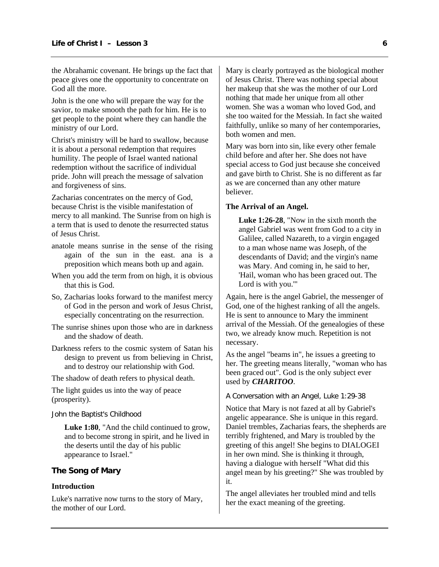<span id="page-7-0"></span>the Abrahamic covenant. He brings up the fact that peace gives one the opportunity to concentrate on God all the more.

John is the one who will prepare the way for the savior, to make smooth the path for him. He is to get people to the point where they can handle the ministry of our Lord.

Christ's ministry will be hard to swallow, because it is about a personal redemption that requires humility. The people of Israel wanted national redemption without the sacrifice of individual pride. John will preach the message of salvation and forgiveness of sins.

Zacharias concentrates on the mercy of God, because Christ is the visible manifestation of mercy to all mankind. The Sunrise from on high is a term that is used to denote the resurrected status of Jesus Christ.

- anatole means sunrise in the sense of the rising again of the sun in the east. ana is a preposition which means both up and again.
- When you add the term from on high, it is obvious that this is God.
- So, Zacharias looks forward to the manifest mercy of God in the person and work of Jesus Christ, especially concentrating on the resurrection.
- The sunrise shines upon those who are in darkness and the shadow of death.
- Darkness refers to the cosmic system of Satan his design to prevent us from believing in Christ, and to destroy our relationship with God.

The shadow of death refers to physical death.

The light guides us into the way of peace (prosperity).

John the Baptist's Childhood

**Luke 1:80**, "And the child continued to grow, and to become strong in spirit, and he lived in the deserts until the day of his public appearance to Israel."

#### **The Song of Mary**

#### **Introduction**

Luke's narrative now turns to the story of Mary, the mother of our Lord.

Mary is clearly portrayed as the biological mother of Jesus Christ. There was nothing special about her makeup that she was the mother of our Lord nothing that made her unique from all other women. She was a woman who loved God, and she too waited for the Messiah. In fact she waited faithfully, unlike so many of her contemporaries, both women and men.

Mary was born into sin, like every other female child before and after her. She does not have special access to God just because she conceived and gave birth to Christ. She is no different as far as we are concerned than any other mature believer.

#### **The Arrival of an Angel.**

**Luke 1:26-28**, "Now in the sixth month the angel Gabriel was went from God to a city in Galilee, called Nazareth, to a virgin engaged to a man whose name was Joseph, of the descendants of David; and the virgin's name was Mary. And coming in, he said to her, 'Hail, woman who has been graced out. The Lord is with you.'"

Again, here is the angel Gabriel, the messenger of God, one of the highest ranking of all the angels. He is sent to announce to Mary the imminent arrival of the Messiah. Of the genealogies of these two, we already know much. Repetition is not necessary.

As the angel "beams in", he issues a greeting to her. The greeting means literally, "woman who has been graced out". God is the only subject ever used by *CHARITOO*.

A Conversation with an Angel, Luke 1:29-38

Notice that Mary is not fazed at all by Gabriel's angelic appearance. She is unique in this regard. Daniel trembles, Zacharias fears, the shepherds are terribly frightened, and Mary is troubled by the greeting of this angel! She begins to DIALOGEI in her own mind. She is thinking it through, having a dialogue with herself "What did this angel mean by his greeting?" She was troubled by it.

The angel alleviates her troubled mind and tells her the exact meaning of the greeting.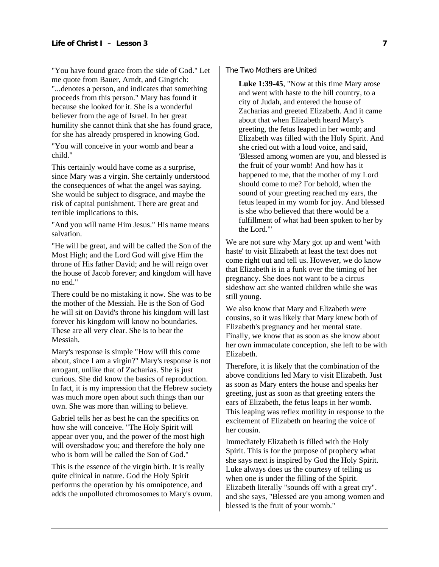"You have found grace from the side of God." Let me quote from Bauer, Arndt, and Gingrich: "...denotes a person, and indicates that something proceeds from this person." Mary has found it because she looked for it. She is a wonderful believer from the age of Israel. In her great humility she cannot think that she has found grace, for she has already prospered in knowing God.

"You will conceive in your womb and bear a child."

This certainly would have come as a surprise, since Mary was a virgin. She certainly understood the consequences of what the angel was saying. She would be subject to disgrace, and maybe the risk of capital punishment. There are great and terrible implications to this.

"And you will name Him Jesus." His name means salvation.

"He will be great, and will be called the Son of the Most High; and the Lord God will give Him the throne of His father David; and he will reign over the house of Jacob forever; and kingdom will have no end."

There could be no mistaking it now. She was to be the mother of the Messiah. He is the Son of God he will sit on David's throne his kingdom will last forever his kingdom will know no boundaries. These are all very clear. She is to bear the Messiah.

Mary's response is simple "How will this come about, since I am a virgin?" Mary's response is not arrogant, unlike that of Zacharias. She is just curious. She did know the basics of reproduction. In fact, it is my impression that the Hebrew society was much more open about such things than our own. She was more than willing to believe.

Gabriel tells her as best he can the specifics on how she will conceive. "The Holy Spirit will appear over you, and the power of the most high will overshadow you; and therefore the holy one who is born will be called the Son of God."

This is the essence of the virgin birth. It is really quite clinical in nature. God the Holy Spirit performs the operation by his omnipotence, and adds the unpolluted chromosomes to Mary's ovum. The Two Mothers are United

**Luke 1:39-45**, "Now at this time Mary arose and went with haste to the hill country, to a city of Judah, and entered the house of Zacharias and greeted Elizabeth. And it came about that when Elizabeth heard Mary's greeting, the fetus leaped in her womb; and Elizabeth was filled with the Holy Spirit. And she cried out with a loud voice, and said, 'Blessed among women are you, and blessed is the fruit of your womb! And how has it happened to me, that the mother of my Lord should come to me? For behold, when the sound of your greeting reached my ears, the fetus leaped in my womb for joy. And blessed is she who believed that there would be a fulfillment of what had been spoken to her by the Lord.'"

We are not sure why Mary got up and went 'with haste' to visit Elizabeth at least the text does not come right out and tell us. However, we do know that Elizabeth is in a funk over the timing of her pregnancy. She does not want to be a circus sideshow act she wanted children while she was still young.

We also know that Mary and Elizabeth were cousins, so it was likely that Mary knew both of Elizabeth's pregnancy and her mental state. Finally, we know that as soon as she know about her own immaculate conception, she left to be with Elizabeth.

Therefore, it is likely that the combination of the above conditions led Mary to visit Elizabeth. Just as soon as Mary enters the house and speaks her greeting, just as soon as that greeting enters the ears of Elizabeth, the fetus leaps in her womb. This leaping was reflex motility in response to the excitement of Elizabeth on hearing the voice of her cousin.

Immediately Elizabeth is filled with the Holy Spirit. This is for the purpose of prophecy what she says next is inspired by God the Holy Spirit. Luke always does us the courtesy of telling us when one is under the filling of the Spirit. Elizabeth literally "sounds off with a great cry". and she says, "Blessed are you among women and blessed is the fruit of your womb."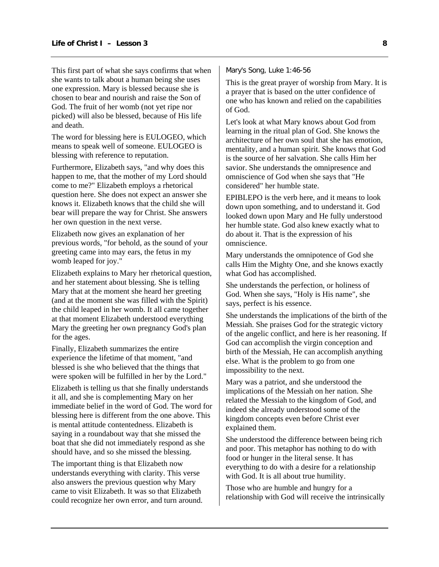This first part of what she says confirms that when she wants to talk about a human being she uses one expression. Mary is blessed because she is chosen to bear and nourish and raise the Son of God. The fruit of her womb (not yet ripe nor picked) will also be blessed, because of His life and death.

The word for blessing here is EULOGEO, which means to speak well of someone. EULOGEO is blessing with reference to reputation.

Furthermore, Elizabeth says, "and why does this happen to me, that the mother of my Lord should come to me?" Elizabeth employs a rhetorical question here. She does not expect an answer she knows it. Elizabeth knows that the child she will bear will prepare the way for Christ. She answers her own question in the next verse.

Elizabeth now gives an explanation of her previous words, "for behold, as the sound of your greeting came into may ears, the fetus in my womb leaped for joy."

Elizabeth explains to Mary her rhetorical question, and her statement about blessing. She is telling Mary that at the moment she heard her greeting (and at the moment she was filled with the Spirit) the child leaped in her womb. It all came together at that moment Elizabeth understood everything Mary the greeting her own pregnancy God's plan for the ages.

Finally, Elizabeth summarizes the entire experience the lifetime of that moment, "and blessed is she who believed that the things that were spoken will be fulfilled in her by the Lord."

Elizabeth is telling us that she finally understands it all, and she is complementing Mary on her immediate belief in the word of God. The word for blessing here is different from the one above. This is mental attitude contentedness. Elizabeth is saying in a roundabout way that she missed the boat that she did not immediately respond as she should have, and so she missed the blessing.

The important thing is that Elizabeth now understands everything with clarity. This verse also answers the previous question why Mary came to visit Elizabeth. It was so that Elizabeth could recognize her own error, and turn around. Mary's Song, Luke 1:46-56

This is the great prayer of worship from Mary. It is a prayer that is based on the utter confidence of one who has known and relied on the capabilities of God.

Let's look at what Mary knows about God from learning in the ritual plan of God. She knows the architecture of her own soul that she has emotion, mentality, and a human spirit. She knows that God is the source of her salvation. She calls Him her savior. She understands the omnipresence and omniscience of God when she says that "He considered" her humble state.

EPIBLEPO is the verb here, and it means to look down upon something, and to understand it. God looked down upon Mary and He fully understood her humble state. God also knew exactly what to do about it. That is the expression of his omniscience.

Mary understands the omnipotence of God she calls Him the Mighty One, and she knows exactly what God has accomplished.

She understands the perfection, or holiness of God. When she says, "Holy is His name", she says, perfect is his essence.

She understands the implications of the birth of the Messiah. She praises God for the strategic victory of the angelic conflict, and here is her reasoning. If God can accomplish the virgin conception and birth of the Messiah, He can accomplish anything else. What is the problem to go from one impossibility to the next.

Mary was a patriot, and she understood the implications of the Messiah on her nation. She related the Messiah to the kingdom of God, and indeed she already understood some of the kingdom concepts even before Christ ever explained them.

She understood the difference between being rich and poor. This metaphor has nothing to do with food or hunger in the literal sense. It has everything to do with a desire for a relationship with God. It is all about true humility.

Those who are humble and hungry for a relationship with God will receive the intrinsically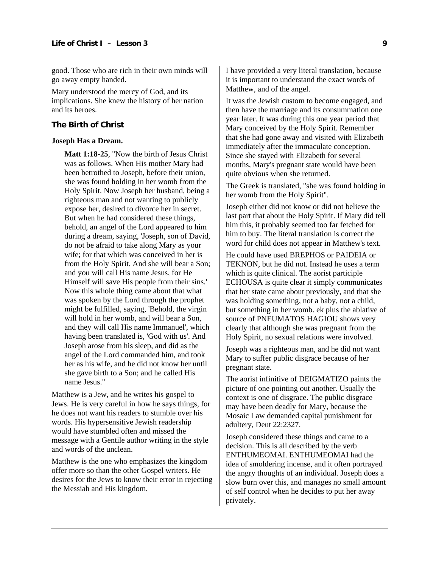<span id="page-10-0"></span>good. Those who are rich in their own minds will go away empty handed.

Mary understood the mercy of God, and its implications. She knew the history of her nation and its heroes.

#### **The Birth of Christ**

#### **Joseph Has a Dream.**

**Matt 1:18-25**, "Now the birth of Jesus Christ was as follows. When His mother Mary had been betrothed to Joseph, before their union, she was found holding in her womb from the Holy Spirit. Now Joseph her husband, being a righteous man and not wanting to publicly expose her, desired to divorce her in secret. But when he had considered these things, behold, an angel of the Lord appeared to him during a dream, saying, 'Joseph, son of David, do not be afraid to take along Mary as your wife; for that which was conceived in her is from the Holy Spirit. And she will bear a Son; and you will call His name Jesus, for He Himself will save His people from their sins.' Now this whole thing came about that what was spoken by the Lord through the prophet might be fulfilled, saying, 'Behold, the virgin will hold in her womb, and will bear a Son, and they will call His name Immanuel', which having been translated is, 'God with us'. And Joseph arose from his sleep, and did as the angel of the Lord commanded him, and took her as his wife, and he did not know her until she gave birth to a Son; and he called His name Jesus."

Matthew is a Jew, and he writes his gospel to Jews. He is very careful in how he says things, for he does not want his readers to stumble over his words. His hypersensitive Jewish readership would have stumbled often and missed the message with a Gentile author writing in the style and words of the unclean.

Matthew is the one who emphasizes the kingdom offer more so than the other Gospel writers. He desires for the Jews to know their error in rejecting the Messiah and His kingdom.

I have provided a very literal translation, because it is important to understand the exact words of Matthew, and of the angel.

It was the Jewish custom to become engaged, and then have the marriage and its consummation one year later. It was during this one year period that Mary conceived by the Holy Spirit. Remember that she had gone away and visited with Elizabeth immediately after the immaculate conception. Since she stayed with Elizabeth for several months, Mary's pregnant state would have been quite obvious when she returned.

The Greek is translated, "she was found holding in her womb from the Holy Spirit".

Joseph either did not know or did not believe the last part that about the Holy Spirit. If Mary did tell him this, it probably seemed too far fetched for him to buy. The literal translation is correct the word for child does not appear in Matthew's text.

He could have used BREPHOS or PAIDEIA or TEKNON, but he did not. Instead he uses a term which is quite clinical. The aorist participle ECHOUSA is quite clear it simply communicates that her state came about previously, and that she was holding something, not a baby, not a child, but something in her womb. ek plus the ablative of source of PNEUMATOS HAGIOU shows very clearly that although she was pregnant from the Holy Spirit, no sexual relations were involved.

Joseph was a righteous man, and he did not want Mary to suffer public disgrace because of her pregnant state.

The aorist infinitive of DEIGMATIZO paints the picture of one pointing out another. Usually the context is one of disgrace. The public disgrace may have been deadly for Mary, because the Mosaic Law demanded capital punishment for adultery, Deut 22:2327.

Joseph considered these things and came to a decision. This is all described by the verb ENTHUMEOMAI. ENTHUMEOMAI had the idea of smoldering incense, and it often portrayed the angry thoughts of an individual. Joseph does a slow burn over this, and manages no small amount of self control when he decides to put her away privately.